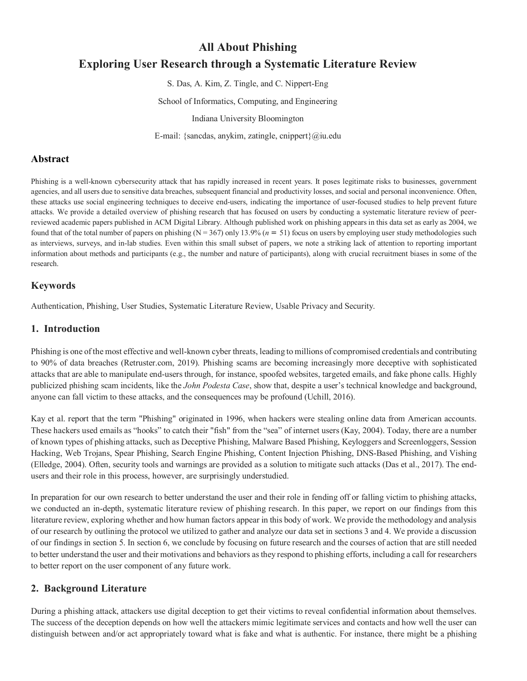# **All About Phishing Exploring User Research through a Systematic Literature Review**

S. Das, A. Kim, Z. Tingle, and C. Nippert-Eng

School of Informatics, Computing, and Engineering

Indiana University Bloomington

E-mail: {sancdas, anykim, zatingle, cnippert}@iu.edu

#### **Abstract**

Phishing is a well-known cybersecurity attack that has rapidly increased in recent years. It poses legitimate risks to businesses, government agencies, and all users due to sensitive data breaches, subsequent financial and productivity losses, and social and personal inconvenience. Often, these attacks use social engineering techniques to deceive end-users, indicating the importance of user-focused studies to help prevent future attacks. We provide a detailed overview of phishing research that has focused on users by conducting a systematic literature review of peerreviewed academic papers published in ACM Digital Library. Although published work on phishing appears in this data set as early as 2004, we found that of the total number of papers on phishing ( $N = 367$ ) only 13.9% ( $n = 51$ ) focus on users by employing user study methodologies such as interviews, surveys, and in-lab studies. Even within this small subset of papers, we note a striking lack of attention to reporting important information about methods and participants (e.g., the number and nature of participants), along with crucial recruitment biases in some of the research.

#### **Keywords**

Authentication, Phishing, User Studies, Systematic Literature Review, Usable Privacy and Security.

#### **1. Introduction**

Phishing is one of the most effective and well-known cyber threats, leading to millions of compromised credentials and contributing to 90% of data breaches (Retruster.com, 2019). Phishing scams are becoming increasingly more deceptive with sophisticated attacks that are able to manipulate end-users through, for instance, spoofed websites, targeted emails, and fake phone calls. Highly publicized phishing scam incidents, like the *John Podesta Case*, show that, despite a user's technical knowledge and background, anyone can fall victim to these attacks, and the consequences may be profound (Uchill, 2016).

Kay et al. report that the term "Phishing" originated in 1996, when hackers were stealing online data from American accounts. These hackers used emails as "hooks" to catch their "fish" from the "sea" of internet users (Kay, 2004). Today, there are a number of known types of phishing attacks, such as Deceptive Phishing, Malware Based Phishing, Keyloggers and Screenloggers, Session Hacking, Web Trojans, Spear Phishing, Search Engine Phishing, Content Injection Phishing, DNS-Based Phishing, and Vishing (Elledge, 2004). Often, security tools and warnings are provided as a solution to mitigate such attacks (Das et al., 2017). The endusers and their role in this process, however, are surprisingly understudied.

In preparation for our own research to better understand the user and their role in fending off or falling victim to phishing attacks, we conducted an in-depth, systematic literature review of phishing research. In this paper, we report on our findings from this literature review, exploring whether and how human factors appear in this body of work. We provide the methodology and analysis of our research by outlining the protocol we utilized to gather and analyze our data set in sections 3 and 4. We provide a discussion of our findings in section 5. In section 6, we conclude by focusing on future research and the courses of action that are still needed to better understand the user and their motivations and behaviors as they respond to phishing efforts, including a call for researchers to better report on the user component of any future work.

# **2. Background Literature**

During a phishing attack, attackers use digital deception to get their victims to reveal confidential information about themselves. The success of the deception depends on how well the attackers mimic legitimate services and contacts and how well the user can distinguish between and/or act appropriately toward what is fake and what is authentic. For instance, there might be a phishing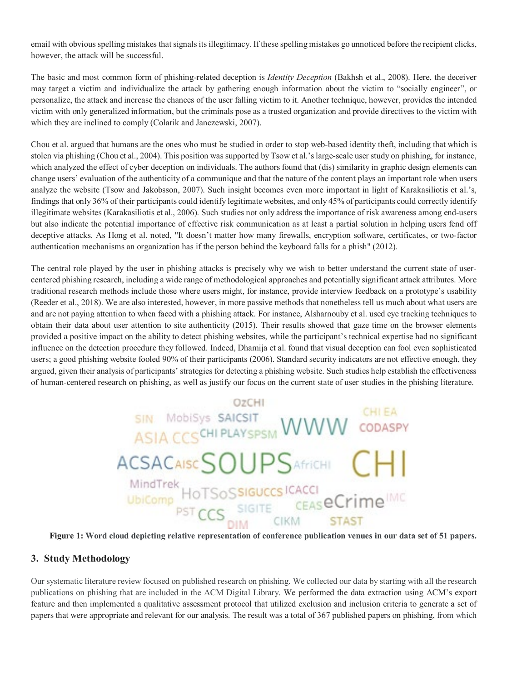email with obvious spelling mistakes that signals its illegitimacy. If these spelling mistakes go unnoticed before the recipient clicks, however, the attack will be successful.

The basic and most common form of phishing-related deception is *Identity Deception* (Bakhsh et al., 2008). Here, the deceiver may target a victim and individualize the attack by gathering enough information about the victim to "socially engineer", or personalize, the attack and increase the chances of the user falling victim to it. Another technique, however, provides the intended victim with only generalized information, but the criminals pose as a trusted organization and provide directives to the victim with which they are inclined to comply (Colarik and Janczewski, 2007).

Chou et al. argued that humans are the ones who must be studied in order to stop web-based identity theft, including that which is stolen via phishing (Chou et al., 2004). This position was supported by Tsow et al.'s large-scale user study on phishing, for instance, which analyzed the effect of cyber deception on individuals. The authors found that (dis) similarity in graphic design elements can change users' evaluation of the authenticity of a communique and that the nature of the content plays an important role when users analyze the website (Tsow and Jakobsson, 2007). Such insight becomes even more important in light of Karakasiliotis et al.'s, findings that only 36% of their participants could identify legitimate websites, and only 45% of participants could correctly identify illegitimate websites (Karakasiliotis et al., 2006). Such studies not only address the importance of risk awareness among end-users but also indicate the potential importance of effective risk communication as at least a partial solution in helping users fend off deceptive attacks. As Hong et al. noted, "It doesn't matter how many firewalls, encryption software, certificates, or two-factor authentication mechanisms an organization has if the person behind the keyboard falls for a phish" (2012).

The central role played by the user in phishing attacks is precisely why we wish to better understand the current state of usercentered phishing research, including a wide range of methodological approaches and potentially significant attack attributes. More traditional research methods include those where users might, for instance, provide interview feedback on a prototype's usability (Reeder et al., 2018). We are also interested, however, in more passive methods that nonetheless tell us much about what users are and are not paying attention to when faced with a phishing attack. For instance, Alsharnouby et al. used eye tracking techniques to obtain their data about user attention to site authenticity (2015). Their results showed that gaze time on the browser elements provided a positive impact on the ability to detect phishing websites, while the participant's technical expertise had no significant influence on the detection procedure they followed. Indeed, Dhamija et al. found that visual deception can fool even sophisticated users; a good phishing website fooled 90% of their participants (2006). Standard security indicators are not effective enough, they argued, given their analysis of participants' strategies for detecting a phishing website. Such studies help establish the effectiveness of human-centered research on phishing, as well as justify our focus on the current state of user studies in the phishing literature.

# SIN Mobisys SAICSIT WWW CODASPY ACSACAISCSOUPSAfrich CHI **STAST**

**Figure 1: Word cloud depicting relative representation of conference publication venues in our data set of 51 papers.**

# **3. Study Methodology**

Our systematic literature review focused on published research on phishing. We collected our data by starting with all the research publications on phishing that are included in the ACM Digital Library. We performed the data extraction using ACM's export feature and then implemented a qualitative assessment protocol that utilized exclusion and inclusion criteria to generate a set of papers that were appropriate and relevant for our analysis. The result was a total of 367 published papers on phishing, from which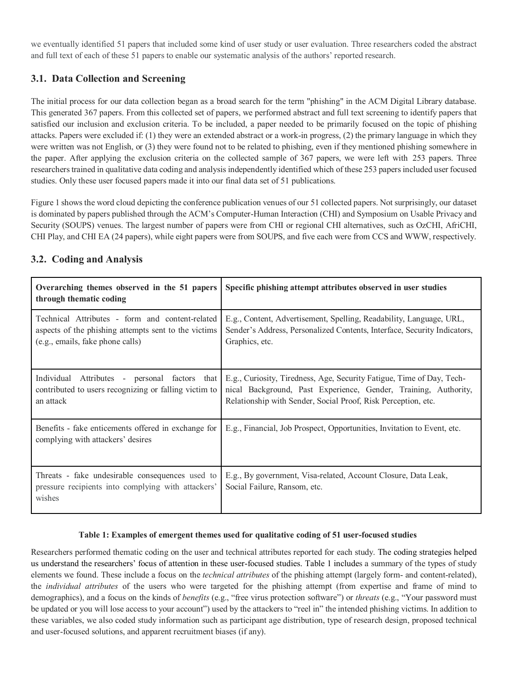we eventually identified 51 papers that included some kind of user study or user evaluation. Three researchers coded the abstract and full text of each of these 51 papers to enable our systematic analysis of the authors' reported research.

# **3.1. Data Collection and Screening**

The initial process for our data collection began as a broad search for the term "phishing" in the ACM Digital Library database. This generated 367 papers. From this collected set of papers, we performed abstract and full text screening to identify papers that satisfied our inclusion and exclusion criteria. To be included, a paper needed to be primarily focused on the topic of phishing attacks. Papers were excluded if: (1) they were an extended abstract or a work-in progress, (2) the primary language in which they were written was not English, or (3) they were found not to be related to phishing, even if they mentioned phishing somewhere in the paper. After applying the exclusion criteria on the collected sample of 367 papers, we were left with 253 papers. Three researchers trained in qualitative data coding and analysis independently identified which of these 253 papers included user focused studies. Only these user focused papers made it into our final data set of 51 publications.

Figure 1 shows the word cloud depicting the conference publication venues of our 51 collected papers. Not surprisingly, our dataset is dominated by papers published through the ACM's Computer-Human Interaction (CHI) and Symposium on Usable Privacy and Security (SOUPS) venues. The largest number of papers were from CHI or regional CHI alternatives, such as OzCHI, AfriCHI, CHI Play, and CHI EA (24 papers), while eight papers were from SOUPS, and five each were from CCS and WWW, respectively.

| Overarching themes observed in the 51 papers<br>through thematic coding                                                                     | Specific phishing attempt attributes observed in user studies                                                                                                                                             |
|---------------------------------------------------------------------------------------------------------------------------------------------|-----------------------------------------------------------------------------------------------------------------------------------------------------------------------------------------------------------|
| Technical Attributes - form and content-related<br>aspects of the phishing attempts sent to the victims<br>(e.g., emails, fake phone calls) | E.g., Content, Advertisement, Spelling, Readability, Language, URL,<br>Sender's Address, Personalized Contents, Interface, Security Indicators,<br>Graphics, etc.                                         |
| Individual Attributes - personal factors that<br>contributed to users recognizing or falling victim to<br>an attack                         | E.g., Curiosity, Tiredness, Age, Security Fatigue, Time of Day, Tech-<br>nical Background, Past Experience, Gender, Training, Authority,<br>Relationship with Sender, Social Proof, Risk Perception, etc. |
| Benefits - fake enticements offered in exchange for<br>complying with attackers' desires                                                    | E.g., Financial, Job Prospect, Opportunities, Invitation to Event, etc.                                                                                                                                   |
| Threats - fake undesirable consequences used to<br>pressure recipients into complying with attackers'<br>wishes                             | E.g., By government, Visa-related, Account Closure, Data Leak,<br>Social Failure, Ransom, etc.                                                                                                            |

# **3.2. Coding and Analysis**

#### **Table 1: Examples of emergent themes used for qualitative coding of 51 user-focused studies**

Researchers performed thematic coding on the user and technical attributes reported for each study. The coding strategies helped us understand the researchers' focus of attention in these user-focused studies. Table 1 includes a summary of the types of study elements we found. These include a focus on the *technical attributes* of the phishing attempt (largely form- and content-related), the *individual attributes* of the users who were targeted for the phishing attempt (from expertise and frame of mind to demographics), and a focus on the kinds of *benefits* (e.g., "free virus protection software") or *threats* (e.g., "Your password must be updated or you will lose access to your account") used by the attackers to "reel in" the intended phishing victims. In addition to these variables, we also coded study information such as participant age distribution, type of research design, proposed technical and user-focused solutions, and apparent recruitment biases (if any).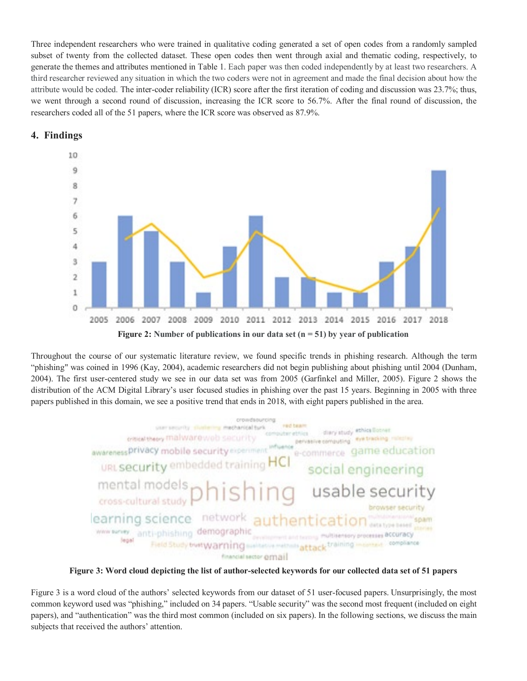Three independent researchers who were trained in qualitative coding generated a set of open codes from a randomly sampled subset of twenty from the collected dataset. These open codes then went through axial and thematic coding, respectively, to generate the themes and attributes mentioned in Table 1. Each paper was then coded independently by at least two researchers. A third researcher reviewed any situation in which the two coders were not in agreement and made the final decision about how the attribute would be coded. The inter-coder reliability (ICR) score after the first iteration of coding and discussion was 23.7%; thus, we went through a second round of discussion, increasing the ICR score to 56.7%. After the final round of discussion, the researchers coded all of the 51 papers, where the ICR score was observed as 87.9%.





Throughout the course of our systematic literature review, we found specific trends in phishing research. Although the term "phishing" was coined in 1996 (Kay, 2004), academic researchers did not begin publishing about phishing until 2004 (Dunham, 2004). The first user-centered study we see in our data set was from 2005 (Garfinkel and Miller, 2005). Figure 2 shows the distribution of the ACM Digital Library's user focused studies in phishing over the past 15 years. Beginning in 2005 with three papers published in this domain, we see a positive trend that ends in 2018, with eight papers published in the area.



**Figure 3: Word cloud depicting the list of author-selected keywords for our collected data set of 51 papers**

Figure 3 is a word cloud of the authors' selected keywords from our dataset of 51 user-focused papers. Unsurprisingly, the most common keyword used was "phishing," included on 34 papers. "Usable security" was the second most frequent (included on eight papers), and "authentication" was the third most common (included on six papers). In the following sections, we discuss the main subjects that received the authors' attention.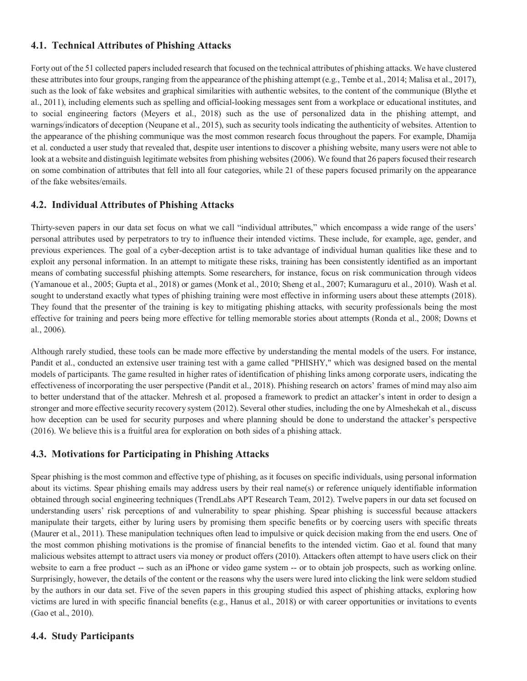# **4.1. Technical Attributes of Phishing Attacks**

Forty out of the 51 collected papers included research that focused on the technical attributes of phishing attacks. We have clustered these attributes into four groups, ranging from the appearance of the phishing attempt (e.g., Tembe et al., 2014; Malisa et al., 2017), such as the look of fake websites and graphical similarities with authentic websites, to the content of the communique (Blythe et al., 2011), including elements such as spelling and official-looking messages sent from a workplace or educational institutes, and to social engineering factors (Meyers et al., 2018) such as the use of personalized data in the phishing attempt, and warnings/indicators of deception (Neupane et al., 2015), such as security tools indicating the authenticity of websites. Attention to the appearance of the phishing communique was the most common research focus throughout the papers. For example, Dhamija et al. conducted a user study that revealed that, despite user intentions to discover a phishing website, many users were not able to look at a website and distinguish legitimate websites from phishing websites (2006). We found that 26 papers focused their research on some combination of attributes that fell into all four categories, while 21 of these papers focused primarily on the appearance of the fake websites/emails.

#### **4.2. Individual Attributes of Phishing Attacks**

Thirty-seven papers in our data set focus on what we call "individual attributes," which encompass a wide range of the users' personal attributes used by perpetrators to try to influence their intended victims. These include, for example, age, gender, and previous experiences. The goal of a cyber-deception artist is to take advantage of individual human qualities like these and to exploit any personal information. In an attempt to mitigate these risks, training has been consistently identified as an important means of combating successful phishing attempts. Some researchers, for instance, focus on risk communication through videos (Yamanoue et al., 2005; Gupta et al., 2018) or games (Monk et al., 2010; Sheng et al., 2007; Kumaraguru et al., 2010). Wash et al. sought to understand exactly what types of phishing training were most effective in informing users about these attempts (2018). They found that the presenter of the training is key to mitigating phishing attacks, with security professionals being the most effective for training and peers being more effective for telling memorable stories about attempts (Ronda et al., 2008; Downs et al., 2006).

Although rarely studied, these tools can be made more effective by understanding the mental models of the users. For instance, Pandit et al., conducted an extensive user training test with a game called "PHISHY," which was designed based on the mental models of participants. The game resulted in higher rates of identification of phishing links among corporate users, indicating the effectiveness of incorporating the user perspective (Pandit et al., 2018). Phishing research on actors' frames of mind may also aim to better understand that of the attacker. Mehresh et al. proposed a framework to predict an attacker's intent in order to design a stronger and more effective security recovery system (2012). Several other studies, including the one by Almeshekah et al., discuss how deception can be used for security purposes and where planning should be done to understand the attacker's perspective (2016). We believe this is a fruitful area for exploration on both sides of a phishing attack.

# **4.3. Motivations for Participating in Phishing Attacks**

Spear phishing is the most common and effective type of phishing, as it focuses on specific individuals, using personal information about its victims. Spear phishing emails may address users by their real name(s) or reference uniquely identifiable information obtained through social engineering techniques (TrendLabs APT Research Team, 2012). Twelve papers in our data set focused on understanding users' risk perceptions of and vulnerability to spear phishing. Spear phishing is successful because attackers manipulate their targets, either by luring users by promising them specific benefits or by coercing users with specific threats (Maurer et al., 2011). These manipulation techniques often lead to impulsive or quick decision making from the end users. One of the most common phishing motivations is the promise of financial benefits to the intended victim. Gao et al. found that many malicious websites attempt to attract users via money or product offers (2010). Attackers often attempt to have users click on their website to earn a free product -- such as an iPhone or video game system -- or to obtain job prospects, such as working online. Surprisingly, however, the details of the content or the reasons why the users were lured into clicking the link were seldom studied by the authors in our data set. Five of the seven papers in this grouping studied this aspect of phishing attacks, exploring how victims are lured in with specific financial benefits (e.g., Hanus et al., 2018) or with career opportunities or invitations to events (Gao et al., 2010).

# **4.4. Study Participants**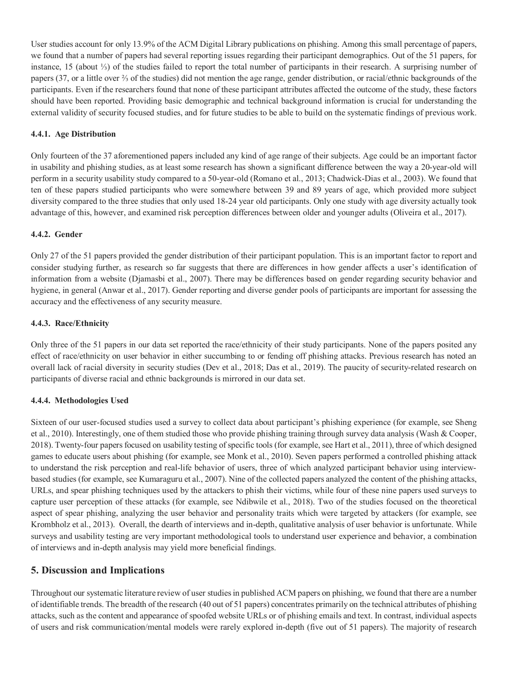User studies account for only 13.9% of the ACM Digital Library publications on phishing. Among this small percentage of papers, we found that a number of papers had several reporting issues regarding their participant demographics. Out of the 51 papers, for instance, 15 (about ⅓) of the studies failed to report the total number of participants in their research. A surprising number of papers (37, or a little over ⅔ of the studies) did not mention the age range, gender distribution, or racial/ethnic backgrounds of the participants. Even if the researchers found that none of these participant attributes affected the outcome of the study, these factors should have been reported. Providing basic demographic and technical background information is crucial for understanding the external validity of security focused studies, and for future studies to be able to build on the systematic findings of previous work.

#### **4.4.1. Age Distribution**

Only fourteen of the 37 aforementioned papers included any kind of age range of their subjects. Age could be an important factor in usability and phishing studies, as at least some research has shown a significant difference between the way a 20-year-old will perform in a security usability study compared to a 50-year-old (Romano et al., 2013; Chadwick-Dias et al., 2003). We found that ten of these papers studied participants who were somewhere between 39 and 89 years of age, which provided more subject diversity compared to the three studies that only used 18-24 year old participants. Only one study with age diversity actually took advantage of this, however, and examined risk perception differences between older and younger adults (Oliveira et al., 2017).

#### **4.4.2. Gender**

Only 27 of the 51 papers provided the gender distribution of their participant population. This is an important factor to report and consider studying further, as research so far suggests that there are differences in how gender affects a user's identification of information from a website (Djamasbi et al., 2007). There may be differences based on gender regarding security behavior and hygiene, in general (Anwar et al., 2017). Gender reporting and diverse gender pools of participants are important for assessing the accuracy and the effectiveness of any security measure.

#### **4.4.3. Race/Ethnicity**

Only three of the 51 papers in our data set reported the race/ethnicity of their study participants. None of the papers posited any effect of race/ethnicity on user behavior in either succumbing to or fending off phishing attacks. Previous research has noted an overall lack of racial diversity in security studies (Dev et al., 2018; Das et al., 2019). The paucity of security-related research on participants of diverse racial and ethnic backgrounds is mirrored in our data set.

#### **4.4.4. Methodologies Used**

Sixteen of our user-focused studies used a survey to collect data about participant's phishing experience (for example, see Sheng et al., 2010). Interestingly, one of them studied those who provide phishing training through survey data analysis (Wash & Cooper, 2018). Twenty-four papers focused on usability testing of specific tools (for example, see Hart et al., 2011), three of which designed games to educate users about phishing (for example, see Monk et al., 2010). Seven papers performed a controlled phishing attack to understand the risk perception and real-life behavior of users, three of which analyzed participant behavior using interviewbased studies (for example, see Kumaraguru et al., 2007). Nine of the collected papers analyzed the content of the phishing attacks, URLs, and spear phishing techniques used by the attackers to phish their victims, while four of these nine papers used surveys to capture user perception of these attacks (for example, see Ndibwile et al., 2018). Two of the studies focused on the theoretical aspect of spear phishing, analyzing the user behavior and personality traits which were targeted by attackers (for example, see Krombholz et al., 2013). Overall, the dearth of interviews and in-depth, qualitative analysis of user behavior is unfortunate. While surveys and usability testing are very important methodological tools to understand user experience and behavior, a combination of interviews and in-depth analysis may yield more beneficial findings.

# **5. Discussion and Implications**

Throughout our systematic literature review of user studies in published ACM papers on phishing, we found that there are a number of identifiable trends. The breadth of the research (40 out of 51 papers) concentrates primarily on the technical attributes of phishing attacks, such as the content and appearance of spoofed website URLs or of phishing emails and text. In contrast, individual aspects of users and risk communication/mental models were rarely explored in-depth (five out of 51 papers). The majority of research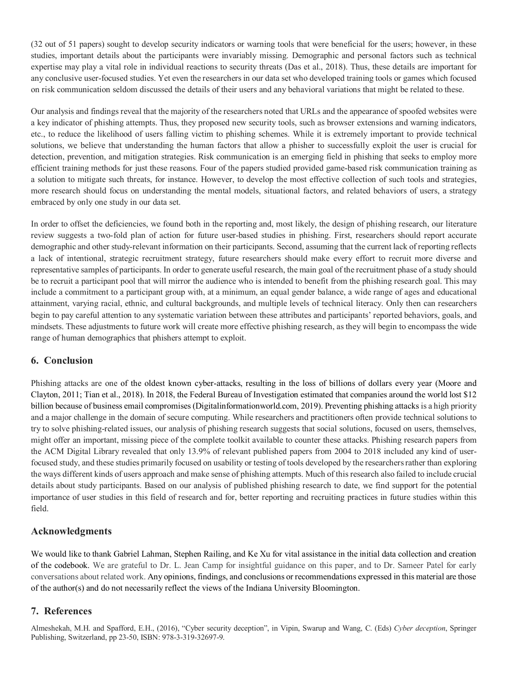(32 out of 51 papers) sought to develop security indicators or warning tools that were beneficial for the users; however, in these studies, important details about the participants were invariably missing. Demographic and personal factors such as technical expertise may play a vital role in individual reactions to security threats (Das et al., 2018). Thus, these details are important for any conclusive user-focused studies. Yet even the researchers in our data set who developed training tools or games which focused on risk communication seldom discussed the details of their users and any behavioral variations that might be related to these.

Our analysis and findings reveal that the majority of the researchers noted that URLs and the appearance of spoofed websites were a key indicator of phishing attempts. Thus, they proposed new security tools, such as browser extensions and warning indicators, etc., to reduce the likelihood of users falling victim to phishing schemes. While it is extremely important to provide technical solutions, we believe that understanding the human factors that allow a phisher to successfully exploit the user is crucial for detection, prevention, and mitigation strategies. Risk communication is an emerging field in phishing that seeks to employ more efficient training methods for just these reasons. Four of the papers studied provided game-based risk communication training as a solution to mitigate such threats, for instance. However, to develop the most effective collection of such tools and strategies, more research should focus on understanding the mental models, situational factors, and related behaviors of users, a strategy embraced by only one study in our data set.

In order to offset the deficiencies, we found both in the reporting and, most likely, the design of phishing research, our literature review suggests a two-fold plan of action for future user-based studies in phishing. First, researchers should report accurate demographic and other study-relevant information on their participants. Second, assuming that the current lack of reporting reflects a lack of intentional, strategic recruitment strategy, future researchers should make every effort to recruit more diverse and representative samples of participants. In order to generate useful research, the main goal of the recruitment phase of a study should be to recruit a participant pool that will mirror the audience who is intended to benefit from the phishing research goal. This may include a commitment to a participant group with, at a minimum, an equal gender balance, a wide range of ages and educational attainment, varying racial, ethnic, and cultural backgrounds, and multiple levels of technical literacy. Only then can researchers begin to pay careful attention to any systematic variation between these attributes and participants' reported behaviors, goals, and mindsets. These adjustments to future work will create more effective phishing research, as they will begin to encompass the wide range of human demographics that phishers attempt to exploit.

#### **6. Conclusion**

Phishing attacks are one of the oldest known cyber-attacks, resulting in the loss of billions of dollars every year (Moore and Clayton, 2011; Tian et al., 2018). In 2018, the Federal Bureau of Investigation estimated that companies around the world lost \$12 billion because of business email compromises (Digitalinformationworld.com, 2019). Preventing phishing attacks is a high priority and a major challenge in the domain of secure computing. While researchers and practitioners often provide technical solutions to try to solve phishing-related issues, our analysis of phishing research suggests that social solutions, focused on users, themselves, might offer an important, missing piece of the complete toolkit available to counter these attacks. Phishing research papers from the ACM Digital Library revealed that only 13.9% of relevant published papers from 2004 to 2018 included any kind of userfocused study, and these studies primarily focused on usability or testing of tools developed by the researchers rather than exploring the ways different kinds of users approach and make sense of phishing attempts. Much of this research also failed to include crucial details about study participants. Based on our analysis of published phishing research to date, we find support for the potential importance of user studies in this field of research and for, better reporting and recruiting practices in future studies within this field.

# **Acknowledgments**

We would like to thank Gabriel Lahman, Stephen Railing, and Ke Xu for vital assistance in the initial data collection and creation of the codebook. We are grateful to Dr. L. Jean Camp for insightful guidance on this paper, and to Dr. Sameer Patel for early conversations about related work. Any opinions, findings, and conclusions or recommendations expressed in this material are those of the author(s) and do not necessarily reflect the views of the Indiana University Bloomington.

# **7. References**

Almeshekah, M.H. and Spafford, E.H., (2016), "Cyber security deception", in Vipin, Swarup and Wang, C. (Eds) *Cyber deception*, Springer Publishing, Switzerland, pp 23-50, ISBN: 978-3-319-32697-9.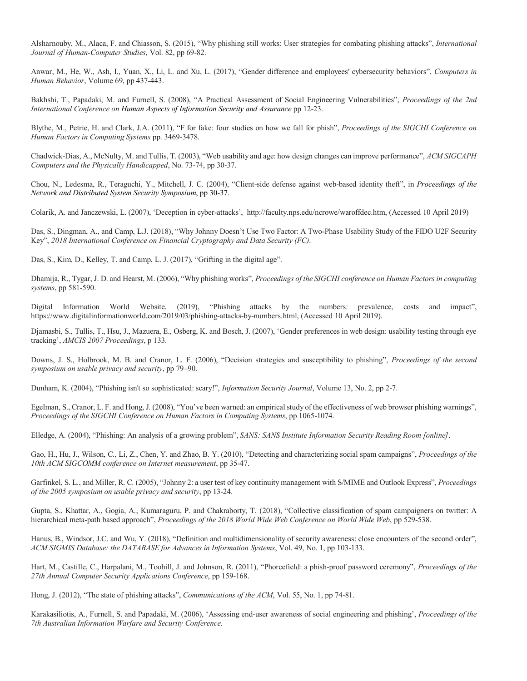Alsharnouby, M., Alaca, F. and Chiasson, S. (2015), "Why phishing still works: User strategies for combating phishing attacks", *International Journal of Human-Computer Studies*, Vol. 82, pp 69-82.

Anwar, M., He, W., Ash, I., Yuan, X., Li, L. and Xu, L. (2017), "Gender difference and employees' cybersecurity behaviors", *Computers in Human Behavior*, Volume 69, pp 437-443.

Bakhshi, T., Papadaki, M. and Furnell, S. (2008), "A Practical Assessment of Social Engineering Vulnerabilities", *Proceedings of the 2nd International Conference on Human Aspects of Information Security and Assurance* pp 12-23.

Blythe, M., Petrie, H. and Clark, J.A. (2011), "F for fake: four studies on how we fall for phish", *Proceedings of the SIGCHI Conference on Human Factors in Computing Systems* pp. 3469-3478.

Chadwick-Dias, A., McNulty, M. and Tullis, T. (2003), "Web usability and age: how design changes can improve performance", *ACM SIGCAPH Computers and the Physically Handicapped*, No. 73-74, pp 30-37.

Chou, N., Ledesma, R., Teraguchi, Y., Mitchell, J. C. (2004), "Client-side defense against web-based identity theft", in *Proceedings of the Network and Distributed System Security Symposium*, pp 30-37.

Colarik, A. and Janczewski, L. (2007), 'Deception in cyber-attacks', http://faculty.nps.edu/ncrowe/waroffdec.htm, (Accessed 10 April 2019)

Das, S., Dingman, A., and Camp, L.J. (2018), "Why Johnny Doesn't Use Two Factor: A Two-Phase Usability Study of the FIDO U2F Security Key", *2018 International Conference on Financial Cryptography and Data Security (FC)*.

Das, S., Kim, D., Kelley, T. and Camp, L. J. (2017), "Grifting in the digital age".

Dhamija, R., Tygar, J. D. and Hearst, M. (2006), "Why phishing works", *Proceedings of the SIGCHI conference on Human Factors in computing systems*, pp 581-590.

Digital Information World Website. (2019), "Phishing attacks by the numbers: prevalence, costs and impact", https://www.digitalinformationworld.com/2019/03/phishing-attacks-by-numbers.html, (Accessed 10 April 2019).

Djamasbi, S., Tullis, T., Hsu, J., Mazuera, E., Osberg, K. and Bosch, J. (2007), 'Gender preferences in web design: usability testing through eye tracking', *AMCIS 2007 Proceedings*, p 133.

Downs, J. S., Holbrook, M. B. and Cranor, L. F. (2006), "Decision strategies and susceptibility to phishing", *Proceedings of the second symposium on usable privacy and security*, pp 79–90.

Dunham, K. (2004), "Phishing isn't so sophisticated: scary!", *Information Security Journal*, Volume 13, No. 2, pp 2-7.

Egelman, S., Cranor, L. F. and Hong, J. (2008), "You've been warned: an empirical study of the effectiveness of web browser phishing warnings", *Proceedings of the SIGCHI Conference on Human Factors in Computing Systems*, pp 1065-1074.

Elledge, A. (2004), "Phishing: An analysis of a growing problem", *SANS: SANS Institute Information Security Reading Room [online]*.

Gao, H., Hu, J., Wilson, C., Li, Z., Chen, Y. and Zhao, B. Y. (2010), "Detecting and characterizing social spam campaigns", *Proceedings of the 10th ACM SIGCOMM conference on Internet measurement*, pp 35-47.

Garfinkel, S. L., and Miller, R. C. (2005), "Johnny 2: a user test of key continuity management with S/MIME and Outlook Express", *Proceedings of the 2005 symposium on usable privacy and security*, pp 13-24.

Gupta, S., Khattar, A., Gogia, A., Kumaraguru, P. and Chakraborty, T. (2018), "Collective classification of spam campaigners on twitter: A hierarchical meta-path based approach", *Proceedings of the 2018 World Wide Web Conference on World Wide Web*, pp 529-538.

Hanus, B., Windsor, J.C. and Wu, Y. (2018), "Definition and multidimensionality of security awareness: close encounters of the second order", *ACM SIGMIS Database: the DATABASE for Advances in Information Systems*, Vol. 49, No. 1, pp 103-133.

Hart, M., Castille, C., Harpalani, M., Toohill, J. and Johnson, R. (2011), "Phorcefield: a phish-proof password ceremony", *Proceedings of the 27th Annual Computer Security Applications Conference*, pp 159-168.

Hong, J. (2012), "The state of phishing attacks", *Communications of the ACM*, Vol. 55, No. 1, pp 74-81.

Karakasiliotis, A., Furnell, S. and Papadaki, M. (2006), 'Assessing end-user awareness of social engineering and phishing', *Proceedings of the 7th Australian Information Warfare and Security Conference*.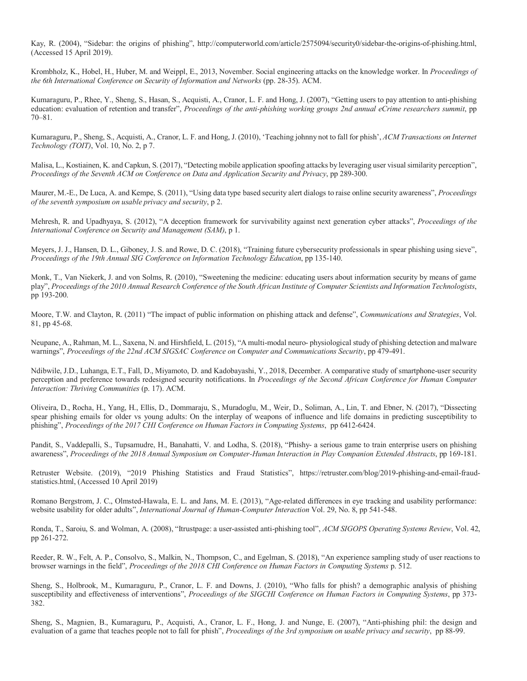Kay, R. (2004), "Sidebar: the origins of phishing", http://computerworld.com/article/2575094/security0/sidebar-the-origins-of-phishing.html, (Accessed 15 April 2019).

Krombholz, K., Hobel, H., Huber, M. and Weippl, E., 2013, November. Social engineering attacks on the knowledge worker. In *Proceedings of the 6th International Conference on Security of Information and Networks* (pp. 28-35). ACM.

Kumaraguru, P., Rhee, Y., Sheng, S., Hasan, S., Acquisti, A., Cranor, L. F. and Hong, J. (2007), "Getting users to pay attention to anti-phishing education: evaluation of retention and transfer", *Proceedings of the anti-phishing working groups 2nd annual eCrime researchers summit*, pp 70–81.

Kumaraguru, P., Sheng, S., Acquisti, A., Cranor, L. F. and Hong, J. (2010), 'Teaching johnny not to fall for phish', *ACM Transactions on Internet Technology (TOIT)*, Vol. 10, No. 2, p 7.

Malisa, L., Kostiainen, K. and Capkun, S. (2017), "Detecting mobile application spoofing attacks by leveraging user visual similarity perception", *Proceedings of the Seventh ACM on Conference on Data and Application Security and Privacy*, pp 289-300.

Maurer, M.-E., De Luca, A. and Kempe, S. (2011), "Using data type based security alert dialogs to raise online security awareness", *Proceedings of the seventh symposium on usable privacy and security*, p 2.

Mehresh, R. and Upadhyaya, S. (2012), "A deception framework for survivability against next generation cyber attacks", *Proceedings of the International Conference on Security and Management (SAM)*, p 1.

Meyers, J. J., Hansen, D. L., Giboney, J. S. and Rowe, D. C. (2018), "Training future cybersecurity professionals in spear phishing using sieve", *Proceedings of the 19th Annual SIG Conference on Information Technology Education*, pp 135-140.

Monk, T., Van Niekerk, J. and von Solms, R. (2010), "Sweetening the medicine: educating users about information security by means of game play", *Proceedings of the 2010 Annual Research Conference of the South African Institute of Computer Scientists and Information Technologists*, pp 193-200.

Moore, T.W. and Clayton, R. (2011) "The impact of public information on phishing attack and defense", *Communications and Strategies*, Vol. 81, pp 45-68.

Neupane, A., Rahman, M. L., Saxena, N. and Hirshfield, L. (2015), "A multi-modal neuro- physiological study of phishing detection and malware warnings", *Proceedings of the 22nd ACM SIGSAC Conference on Computer and Communications Security*, pp 479-491.

Ndibwile, J.D., Luhanga, E.T., Fall, D., Miyamoto, D. and Kadobayashi, Y., 2018, December. A comparative study of smartphone-user security perception and preference towards redesigned security notifications. In *Proceedings of the Second African Conference for Human Computer Interaction: Thriving Communities* (p. 17). ACM.

Oliveira, D., Rocha, H., Yang, H., Ellis, D., Dommaraju, S., Muradoglu, M., Weir, D., Soliman, A., Lin, T. and Ebner, N. (2017), "Dissecting spear phishing emails for older vs young adults: On the interplay of weapons of influence and life domains in predicting susceptibility to phishing", *Proceedings of the 2017 CHI Conference on Human Factors in Computing Systems*, pp 6412-6424.

Pandit, S., Vaddepalli, S., Tupsamudre, H., Banahatti, V. and Lodha, S. (2018), "Phishy- a serious game to train enterprise users on phishing awareness", *Proceedings of the 2018 Annual Symposium on Computer-Human Interaction in Play Companion Extended Abstracts*, pp 169-181.

Retruster Website. (2019), "2019 Phishing Statistics and Fraud Statistics", https://retruster.com/blog/2019-phishing-and-email-fraudstatistics.html, (Accessed 10 April 2019)

Romano Bergstrom, J. C., Olmsted-Hawala, E. L. and Jans, M. E. (2013), "Age-related differences in eye tracking and usability performance: website usability for older adults", *International Journal of Human-Computer Interaction* Vol. 29, No. 8, pp 541-548.

Ronda, T., Saroiu, S. and Wolman, A. (2008), "Itrustpage: a user-assisted anti-phishing tool", *ACM SIGOPS Operating Systems Review*, Vol. 42, pp 261-272.

Reeder, R. W., Felt, A. P., Consolvo, S., Malkin, N., Thompson, C., and Egelman, S. (2018), "An experience sampling study of user reactions to browser warnings in the field", *Proceedings of the 2018 CHI Conference on Human Factors in Computing Systems* p. 512.

Sheng, S., Holbrook, M., Kumaraguru, P., Cranor, L. F. and Downs, J. (2010), "Who falls for phish? a demographic analysis of phishing susceptibility and effectiveness of interventions", *Proceedings of the SIGCHI Conference on Human Factors in Computing Systems*, pp 373- 382.

Sheng, S., Magnien, B., Kumaraguru, P., Acquisti, A., Cranor, L. F., Hong, J. and Nunge, E. (2007), "Anti-phishing phil: the design and evaluation of a game that teaches people not to fall for phish", *Proceedings of the 3rd symposium on usable privacy and security*, pp 88-99.